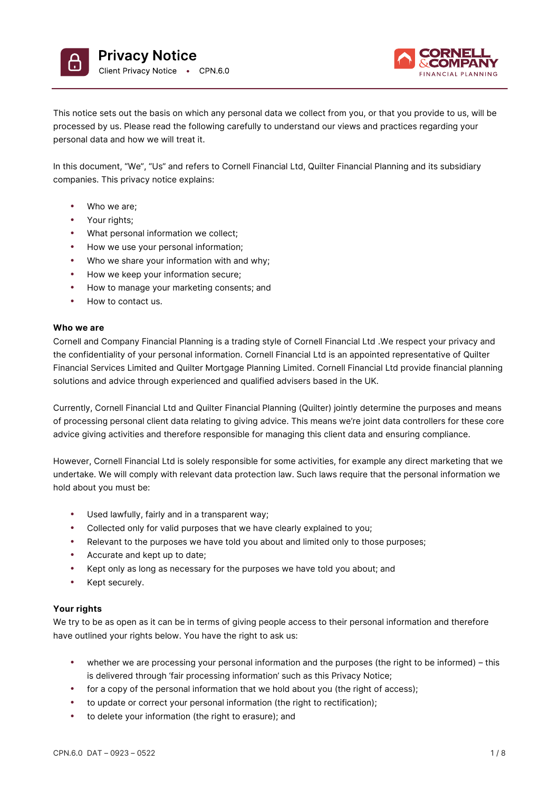



**This notice sets out the basis on which any personal data we collect from you, or that you provide to us, will be processed by us. Please read the following carefully to understand our views and practices regarding your personal data and how we will treat it.**

**In this document, "We", "Us" and refers to Cornell Financial Ltd, Quilter Financial Planning and its subsidiary companies. This privacy notice explains:**

- **Who we are;**
- **Your rights;**
- **What personal information we collect;**
- **How we use your personal information;**
- **Who we share your information with and why;**
- **How we keep your information secure;**
- **How to manage your marketing consents; and**
- **How to contact us.**

## **Who we are**

**Cornell and Company Financial Planning is a trading style of Cornell Financial Ltd .We respect your privacy and the confidentiality of your personal information. Cornell Financial Ltd is an appointed representative of Quilter Financial Services Limited and Quilter Mortgage Planning Limited. Cornell Financial Ltd provide financial planning solutions and advice through experienced and qualified advisers based in the UK.**

**Currently, Cornell Financial Ltd and Quilter Financial Planning (Quilter) jointly determine the purposes and means of processing personal client data relating to giving advice. This means we're joint data controllers for these core advice giving activities and therefore responsible for managing this client data and ensuring compliance.**

**However, Cornell Financial Ltd is solely responsible for some activities, for example any direct marketing that we undertake. We will comply with relevant data protection law. Such laws require that the personal information we hold about you must be:**

- **Used lawfully, fairly and in a transparent way;**
- **Collected only for valid purposes that we have clearly explained to you;**
- **Relevant to the purposes we have told you about and limited only to those purposes;**
- **Accurate and kept up to date;**
- **Kept only as long as necessary for the purposes we have told you about; and**
- **Kept securely.**

### **Your rights**

**We try to be as open as it can be in terms of giving people access to their personal information and therefore have outlined your rights below. You have the right to ask us:**

- **whether we are processing your personal information and the purposes (the right to be informed) – this is delivered through 'fair processing information' such as this Privacy Notice;**
- **for a copy of the personal information that we hold about you (the right of access);**
- **to update or correct your personal information (the right to rectification);**
- **to delete your information (the right to erasure); and**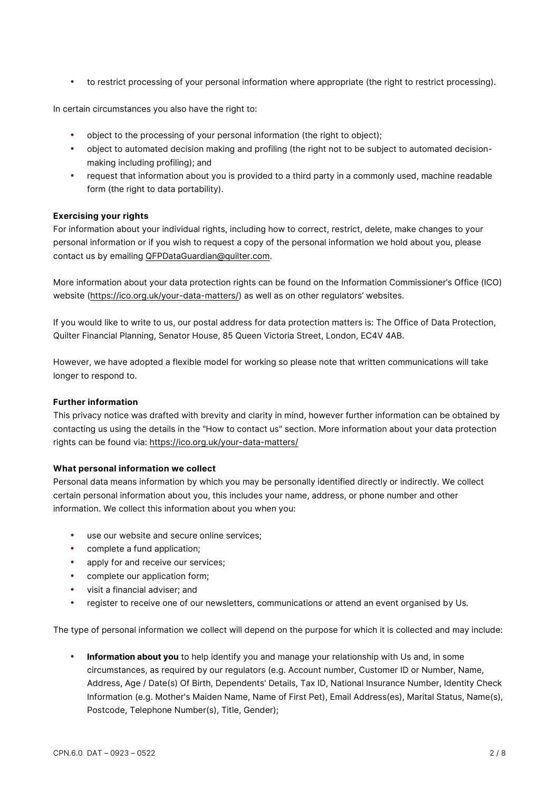**to restrict processing of your personal information where appropriate (the right to restrict processing).**

**In certain circumstances you also have the right to:**

- **object to the processing of your personal information (the right to object);**
- **object to automated decision making and profiling (the right not to be subject to automated decisionmaking including profiling); and**
- **request that information about you is provided to a third party in a commonly used, machine readable form (the right to data portability).**

# **Exercising your rights**

**For information about your individual rights, including how to correct, restrict, delete, make changes to your personal information or if you wish to request a copy of the personal information we hold about you, please contact us by emailing [QFPDataGuardian@quilter.com.](mailto:QFPDataGuardian@quilter.com)**

**More information about your data protection rights can be found on the Information Commissioner's Office (ICO) website [\(https://ico.org.uk/your-data-matters/\)](https://ico.org.uk/your-data-matters/) as well as on other regulators' websites.**

**If you would like to write to us, our postal address for data protection matters is: The Office of Data Protection, Quilter Financial Planning, Senator House, 85 Queen Victoria Street, London, EC4V 4AB.**

**However, we have adopted a flexible model for working so please note that written communications will take longer to respond to.**

## **Further information**

**This privacy notice was drafted with brevity and clarity in mind, however further information can be obtained by contacting us using the details in the "How to contact us" section. More information about your data protection rights can be found via: <https://ico.org.uk/your-data-matters/>**

## **What personal information we collect**

**Personal data means information by which you may be personally identified directly or indirectly. We collect certain personal information about you, this includes your name, address, or phone number and other information. We collect this information about you when you:**

- **use our website and secure online services;**
- **complete a fund application;**
- **apply for and receive our services;**
- **complete our application form;**
- **visit a financial adviser; and**
- **register to receive one of our newsletters, communications or attend an event organised by Us.**

**The type of personal information we collect will depend on the purpose for which it is collected and may include:**

 **Information about you to help identify you and manage your relationship with Us and, in some circumstances, as required by our regulators (e.g. Account number, Customer ID or Number, Name, Address, Age / Date(s) Of Birth, Dependents' Details, Tax ID, National Insurance Number, Identity Check Information (e.g. Mother's Maiden Name, Name of First Pet), Email Address(es), Marital Status, Name(s), Postcode, Telephone Number(s), Title, Gender);**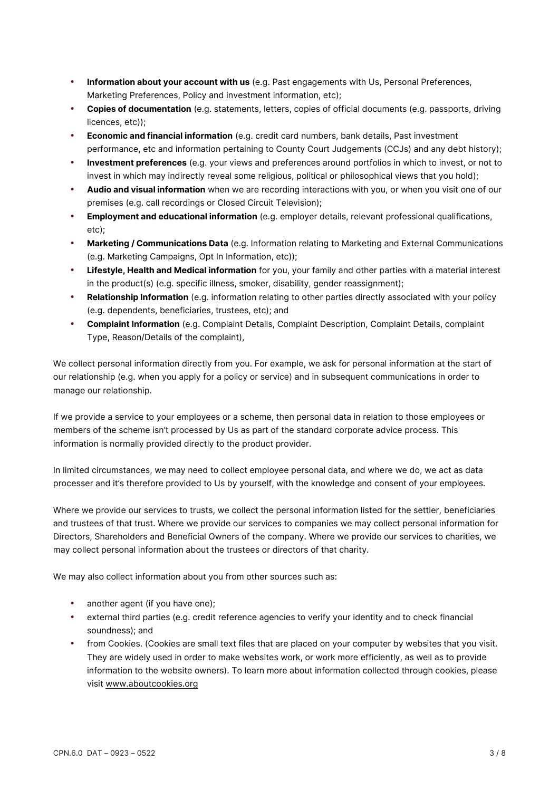- **Information about your account with us (e.g. Past engagements with Us, Personal Preferences, Marketing Preferences, Policy and investment information, etc);**
- **Copies of documentation (e.g. statements, letters, copies of official documents (e.g. passports, driving licences, etc));**
- **Economic and financial information (e.g. credit card numbers, bank details, Past investment performance, etc and information pertaining to County Court Judgements (CCJs) and any debt history);**
- **Investment preferences (e.g. your views and preferences around portfolios in which to invest, or not to invest in which may indirectly reveal some religious, political or philosophical views that you hold);**
- **Audio and visual information when we are recording interactions with you, or when you visit one of our premises (e.g. call recordings or Closed Circuit Television);**
- **Employment and educational information (e.g. employer details, relevant professional qualifications, etc);**
- **Marketing / Communications Data (e.g. Information relating to Marketing and External Communications (e.g. Marketing Campaigns, Opt In Information, etc));**
- **Lifestyle, Health and Medical information for you, your family and other parties with a material interest in the product(s) (e.g. specific illness, smoker, disability, gender reassignment);**
- **Relationship Information (e.g. information relating to other parties directly associated with your policy (e.g. dependents, beneficiaries, trustees, etc); and**
- **Complaint Information (e.g. Complaint Details, Complaint Description, Complaint Details, complaint Type, Reason/Details of the complaint),**

**We collect personal information directly from you. For example, we ask for personal information at the start of our relationship (e.g. when you apply for a policy or service) and in subsequent communications in order to manage our relationship.**

**If we provide a service to your employees or a scheme, then personal data in relation to those employees or members of the scheme isn't processed by Us as part of the standard corporate advice process. This information is normally provided directly to the product provider.**

**In limited circumstances, we may need to collect employee personal data, and where we do, we act as data processer and it's therefore provided to Us by yourself, with the knowledge and consent of your employees.** 

**Where we provide our services to trusts, we collect the personal information listed for the settler, beneficiaries and trustees of that trust. Where we provide our services to companies we may collect personal information for Directors, Shareholders and Beneficial Owners of the company. Where we provide our services to charities, we may collect personal information about the trustees or directors of that charity.**

**We may also collect information about you from other sources such as:**

- **another agent (if you have one);**
- **external third parties (e.g. credit reference agencies to verify your identity and to check financial soundness); and**
- **from Cookies. (Cookies are small text files that are placed on your computer by websites that you visit. They are widely used in order to make websites work, or work more efficiently, as well as to provide information to the website owners). To learn more about information collected through cookies, please visit [www.aboutcookies.org](http://www.aboutcookies.org/)**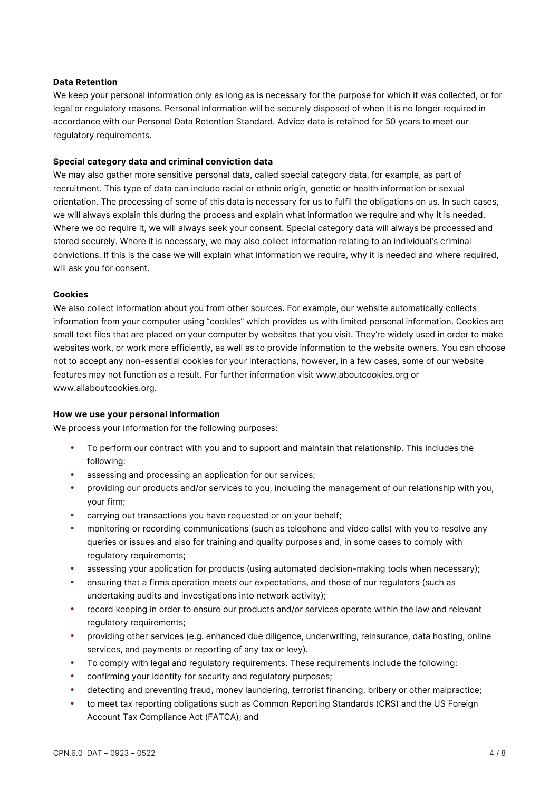## **Data Retention**

**We keep your personal information only as long as is necessary for the purpose for which it was collected, or for legal or regulatory reasons. Personal information will be securely disposed of when it is no longer required in accordance with our Personal Data Retention Standard. Advice data is retained for 50 years to meet our regulatory requirements.**

## **Special category data and criminal conviction data**

**We may also gather more sensitive personal data, called special category data, for example, as part of recruitment. This type of data can include racial or ethnic origin, genetic or health information or sexual orientation. The processing of some of this data is necessary for us to fulfil the obligations on us. In such cases, we will always explain this during the process and explain what information we require and why it is needed. Where we do require it, we will always seek your consent. Special category data will always be processed and stored securely. Where it is necessary, we may also collect information relating to an individual's criminal convictions. If this is the case we will explain what information we require, why it is needed and where required, will ask you for consent.**

# **Cookies**

**We also collect information about you from other sources. For example, our website automatically collects information from your computer using "cookies" which provides us with limited personal information. Cookies are small text files that are placed on your computer by websites that you visit. They're widely used in order to make websites work, or work more efficiently, as well as to provide information to the website owners. You can choose not to accept any non-essential cookies for your interactions, however, in a few cases, some of our website features may not function as a result. For further information visit [www.aboutcookies.org](http://www.aboutcookies.org/) or [www.allaboutcookies.org.](http://www.allaboutcookies.org/)** 

## **How we use your personal information**

**We process your information for the following purposes:**

- **To perform our contract with you and to support and maintain that relationship. This includes the following:**
- **assessing and processing an application for our services;**
- **providing our products and/or services to you, including the management of our relationship with you, your firm;**
- **carrying out transactions you have requested or on your behalf;**
- **monitoring or recording communications (such as telephone and video calls) with you to resolve any queries or issues and also for training and quality purposes and, in some cases to comply with regulatory requirements;**
- **assessing your application for products (using automated decision-making tools when necessary);**
- **ensuring that a firms operation meets our expectations, and those of our regulators (such as undertaking audits and investigations into network activity);**
- **record keeping in order to ensure our products and/or services operate within the law and relevant regulatory requirements;**
- **providing other services (e.g. enhanced due diligence, underwriting, reinsurance, data hosting, online services, and payments or reporting of any tax or levy).**
- **To comply with legal and regulatory requirements. These requirements include the following:**
- **confirming your identity for security and regulatory purposes;**
- **detecting and preventing fraud, money laundering, terrorist financing, bribery or other malpractice;**
- **to meet tax reporting obligations such as Common Reporting Standards (CRS) and the US Foreign Account Tax Compliance Act (FATCA); and**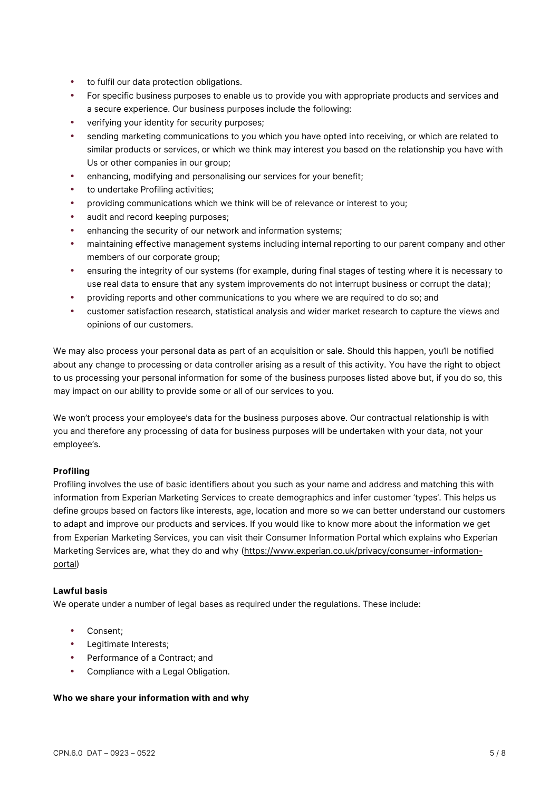- **to fulfil our data protection obligations.**
- **For specific business purposes to enable us to provide you with appropriate products and services and a secure experience. Our business purposes include the following:**
- **verifying your identity for security purposes;**
- **sending marketing communications to you which you have opted into receiving, or which are related to similar products or services, or which we think may interest you based on the relationship you have with Us or other companies in our group;**
- **enhancing, modifying and personalising our services for your benefit;**
- **to undertake Profiling activities;**
- **providing communications which we think will be of relevance or interest to you;**
- **audit and record keeping purposes;**
- **enhancing the security of our network and information systems;**
- **maintaining effective management systems including internal reporting to our parent company and other members of our corporate group;**
- **ensuring the integrity of our systems (for example, during final stages of testing where it is necessary to use real data to ensure that any system improvements do not interrupt business or corrupt the data);**
- **providing reports and other communications to you where we are required to do so; and**
- **customer satisfaction research, statistical analysis and wider market research to capture the views and opinions of our customers.**

**We may also process your personal data as part of an acquisition or sale. Should this happen, you'll be notified about any change to processing or data controller arising as a result of this activity. You have the right to object to us processing your personal information for some of the business purposes listed above but, if you do so, this may impact on our ability to provide some or all of our services to you.**

**We won't process your employee's data for the business purposes above. Our contractual relationship is with you and therefore any processing of data for business purposes will be undertaken with your data, not your employee's.**

# **Profiling**

**Profiling involves the use of basic identifiers about you such as your name and address and matching this with information from Experian Marketing Services to create demographics and infer customer 'types'. This helps us define groups based on factors like interests, age, location and more so we can better understand our customers to adapt and improve our products and services. If you would like to know more about the information we get from Experian Marketing Services, you can visit their Consumer Information Portal which explains who Experian Marketing Services are, what they do and why [\(https://www.experian.co.uk/privacy/consumer-information](https://www.experian.co.uk/privacy/consumer-information-portal)[portal\)](https://www.experian.co.uk/privacy/consumer-information-portal)** 

## **Lawful basis**

**We operate under a number of legal bases as required under the regulations. These include:**

- **Consent;**
- **Legitimate Interests;**
- **Performance of a Contract; and**
- **Compliance with a Legal Obligation.**

## **Who we share your information with and why**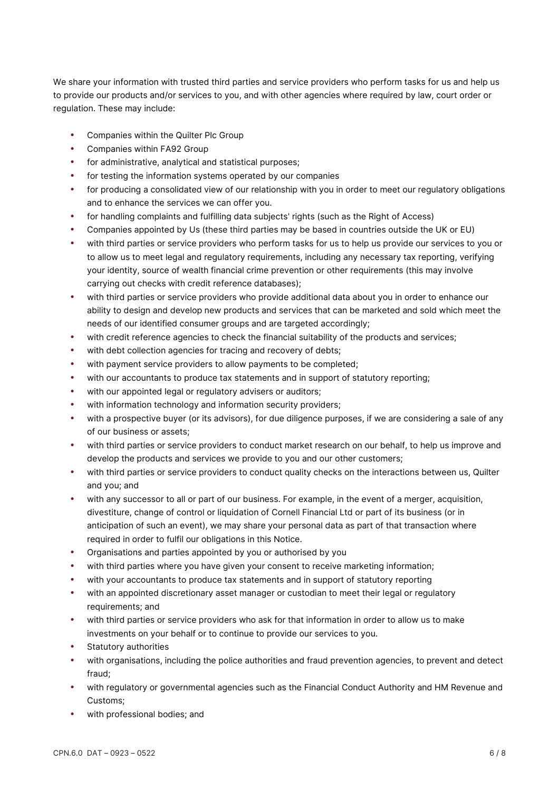**We share your information with trusted third parties and service providers who perform tasks for us and help us to provide our products and/or services to you, and with other agencies where required by law, court order or regulation. These may include:**

- **Companies within the Quilter Plc Group**
- **Companies within FA92 Group**
- **for administrative, analytical and statistical purposes;**
- **for testing the information systems operated by our companies**
- **for producing a consolidated view of our relationship with you in order to meet our regulatory obligations and to enhance the services we can offer you.**
- **for handling complaints and fulfilling data subjects' rights (such as the Right of Access)**
- **Companies appointed by Us (these third parties may be based in countries outside the UK or EU)**
- **with third parties or service providers who perform tasks for us to help us provide our services to you or to allow us to meet legal and regulatory requirements, including any necessary tax reporting, verifying your identity, source of wealth financial crime prevention or other requirements (this may involve carrying out checks with credit reference databases);**
- **with third parties or service providers who provide additional data about you in order to enhance our ability to design and develop new products and services that can be marketed and sold which meet the needs of our identified consumer groups and are targeted accordingly;**
- **with credit reference agencies to check the financial suitability of the products and services;**
- **with debt collection agencies for tracing and recovery of debts;**
- **with payment service providers to allow payments to be completed;**
- **with our accountants to produce tax statements and in support of statutory reporting;**
- **with our appointed legal or regulatory advisers or auditors;**
- **with information technology and information security providers;**
- **with a prospective buyer (or its advisors), for due diligence purposes, if we are considering a sale of any of our business or assets;**
- **with third parties or service providers to conduct market research on our behalf, to help us improve and develop the products and services we provide to you and our other customers;**
- **with third parties or service providers to conduct quality checks on the interactions between us, Quilter and you; and**
- **with any successor to all or part of our business. For example, in the event of a merger, acquisition, divestiture, change of control or liquidation of Cornell Financial Ltd or part of its business (or in anticipation of such an event), we may share your personal data as part of that transaction where required in order to fulfil our obligations in this Notice.**
- **Organisations and parties appointed by you or authorised by you**
- **with third parties where you have given your consent to receive marketing information;**
- **with your accountants to produce tax statements and in support of statutory reporting**
- **with an appointed discretionary asset manager or custodian to meet their legal or regulatory requirements; and**
- **with third parties or service providers who ask for that information in order to allow us to make investments on your behalf or to continue to provide our services to you.**
- **Statutory authorities**
- **with organisations, including the police authorities and fraud prevention agencies, to prevent and detect fraud;**
- **with regulatory or governmental agencies such as the Financial Conduct Authority and HM Revenue and Customs;**
- **with professional bodies; and**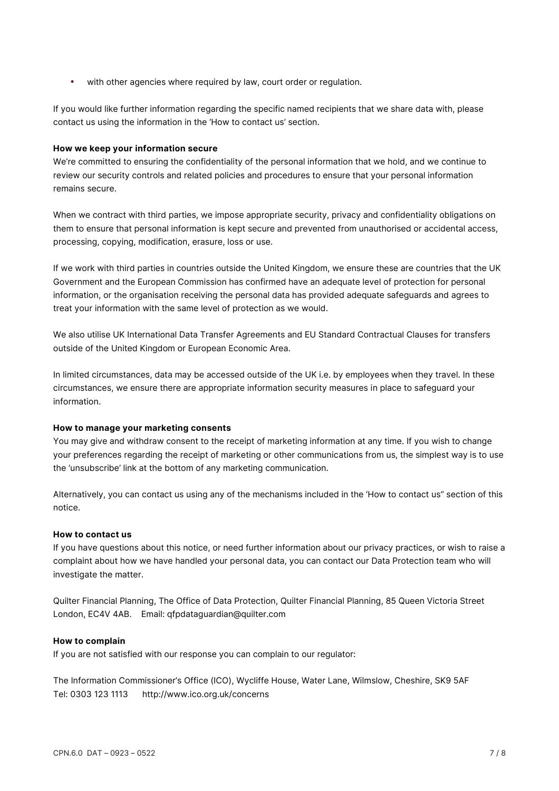**with other agencies where required by law, court order or regulation.**

**If you would like further information regarding the specific named recipients that we share data with, please contact us using the information in the 'How to contact us' section.**

## **How we keep your information secure**

**We're committed to ensuring the confidentiality of the personal information that we hold, and we continue to review our security controls and related policies and procedures to ensure that your personal information remains secure.**

**When we contract with third parties, we impose appropriate security, privacy and confidentiality obligations on them to ensure that personal information is kept secure and prevented from unauthorised or accidental access, processing, copying, modification, erasure, loss or use.**

**If we work with third parties in countries outside the United Kingdom, we ensure these are countries that the UK Government and the European Commission has confirmed have an adequate level of protection for personal information, or the organisation receiving the personal data has provided adequate safeguards and agrees to treat your information with the same level of protection as we would.**

**We also utilise UK International Data Transfer Agreements and EU Standard Contractual Clauses for transfers outside of the United Kingdom or European Economic Area.**

**In limited circumstances, data may be accessed outside of the UK i.e. by employees when they travel. In these circumstances, we ensure there are appropriate information security measures in place to safeguard your information.**

## **How to manage your marketing consents**

**You may give and withdraw consent to the receipt of marketing information at any time. If you wish to change your preferences regarding the receipt of marketing or other communications from us, the simplest way is to use the 'unsubscribe' link at the bottom of any marketing communication.**

**Alternatively, you can contact us using any of the mechanisms included in the 'How to contact us" section of this notice.**

### **How to contact us**

**If you have questions about this notice, or need further information about our privacy practices, or wish to raise a complaint about how we have handled your personal data, you can contact our Data Protection team who will investigate the matter.**

**Quilter Financial Planning, The Office of Data Protection, Quilter Financial Planning, 85 Queen Victoria Street London, EC4V 4AB. Email: qfpdataguardian@quilter.com**

### **How to complain**

**If you are not satisfied with our response you can complain to our regulator:**

**The Information Commissioner's Office (ICO), Wycliffe House, Water Lane, Wilmslow, Cheshire, SK9 5AF Tel: 0303 123 1113 http://www.ico.org.uk/concerns**